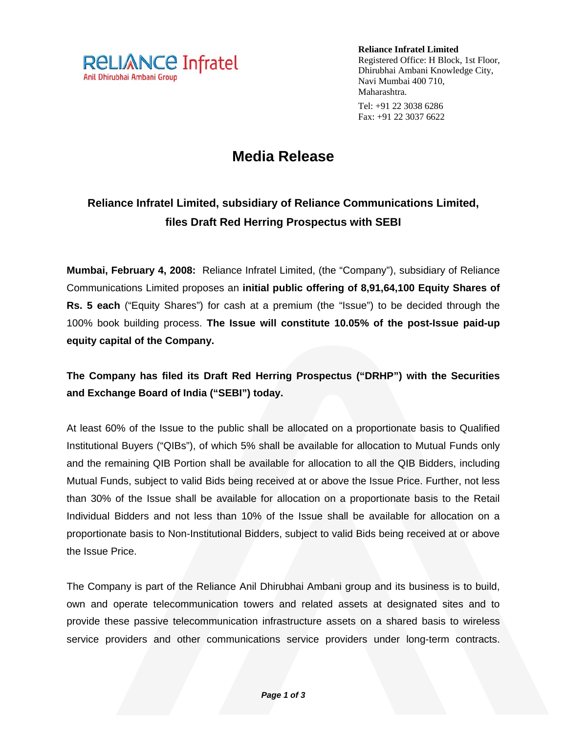

**Reliance Infratel Limited**  Registered Office: H Block, 1st Floor, Dhirubhai Ambani Knowledge City, Navi Mumbai 400 710, Maharashtra. Tel: +91 22 3038 6286 Fax: +91 22 3037 6622

## **Media Release**

## **Reliance Infratel Limited, subsidiary of Reliance Communications Limited, files Draft Red Herring Prospectus with SEBI**

**Mumbai, February 4, 2008:** Reliance Infratel Limited, (the "Company"), subsidiary of Reliance Communications Limited proposes an **initial public offering of 8,91,64,100 Equity Shares of Rs. 5 each** ("Equity Shares") for cash at a premium (the "Issue") to be decided through the 100% book building process. **The Issue will constitute 10.05% of the post-Issue paid-up equity capital of the Company.** 

## **The Company has filed its Draft Red Herring Prospectus ("DRHP") with the Securities and Exchange Board of India ("SEBI") today.**

At least 60% of the Issue to the public shall be allocated on a proportionate basis to Qualified Institutional Buyers ("QIBs"), of which 5% shall be available for allocation to Mutual Funds only and the remaining QIB Portion shall be available for allocation to all the QIB Bidders, including Mutual Funds, subject to valid Bids being received at or above the Issue Price. Further, not less than 30% of the Issue shall be available for allocation on a proportionate basis to the Retail Individual Bidders and not less than 10% of the Issue shall be available for allocation on a proportionate basis to Non-Institutional Bidders, subject to valid Bids being received at or above the Issue Price.

The Company is part of the Reliance Anil Dhirubhai Ambani group and its business is to build, own and operate telecommunication towers and related assets at designated sites and to provide these passive telecommunication infrastructure assets on a shared basis to wireless service providers and other communications service providers under long-term contracts.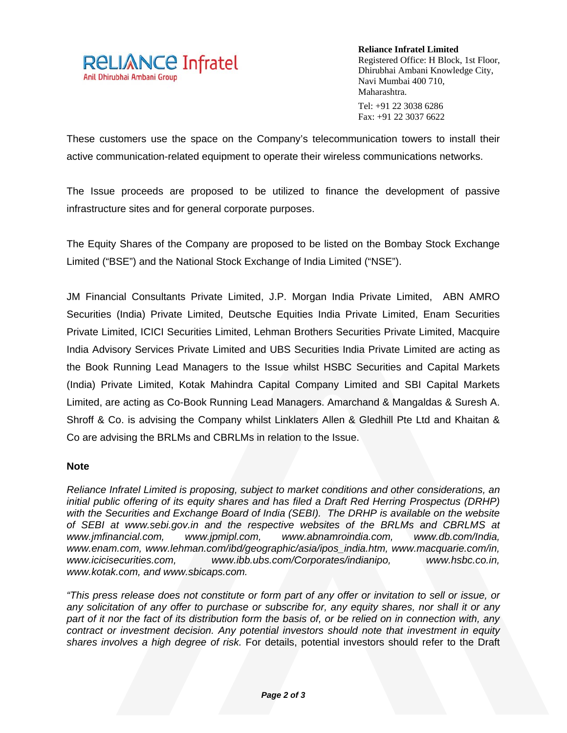

**Reliance Infratel Limited**  Registered Office: H Block, 1st Floor, Dhirubhai Ambani Knowledge City, Navi Mumbai 400 710, Maharashtra. Tel: +91 22 3038 6286 Fax: +91 22 3037 6622

These customers use the space on the Company's telecommunication towers to install their active communication-related equipment to operate their wireless communications networks.

The Issue proceeds are proposed to be utilized to finance the development of passive infrastructure sites and for general corporate purposes.

The Equity Shares of the Company are proposed to be listed on the Bombay Stock Exchange Limited ("BSE") and the National Stock Exchange of India Limited ("NSE").

JM Financial Consultants Private Limited, J.P. Morgan India Private Limited, ABN AMRO Securities (India) Private Limited, Deutsche Equities India Private Limited, Enam Securities Private Limited, ICICI Securities Limited, Lehman Brothers Securities Private Limited, Macquire India Advisory Services Private Limited and UBS Securities India Private Limited are acting as the Book Running Lead Managers to the Issue whilst HSBC Securities and Capital Markets (India) Private Limited, Kotak Mahindra Capital Company Limited and SBI Capital Markets Limited, are acting as Co-Book Running Lead Managers. Amarchand & Mangaldas & Suresh A. Shroff & Co. is advising the Company whilst Linklaters Allen & Gledhill Pte Ltd and Khaitan & Co are advising the BRLMs and CBRLMs in relation to the Issue.

## **Note**

*Reliance Infratel Limited is proposing, subject to market conditions and other considerations, an initial public offering of its equity shares and has filed a Draft Red Herring Prospectus (DRHP) with the Securities and Exchange Board of India (SEBI). The DRHP is available on the website of SEBI at www.sebi.gov.in and the respective websites of the BRLMs and CBRLMS at www.jmfinancial.com, www.jpmipl.com, www.abnamroindia.com, www.db.com/India, www.enam.com, www.lehman.com/ibd/geographic/asia/ipos\_india.htm, www.macquarie.com/in, www.icicisecurities.com, www.ibb.ubs.com/Corporates/indianipo, www.hsbc.co.in, www.kotak.com, and www.sbicaps.com.* 

*"This press release does not constitute or form part of any offer or invitation to sell or issue, or any solicitation of any offer to purchase or subscribe for, any equity shares, nor shall it or any part of it nor the fact of its distribution form the basis of, or be relied on in connection with, any contract or investment decision. Any potential investors should note that investment in equity shares involves a high degree of risk.* For details, potential investors should refer to the Draft